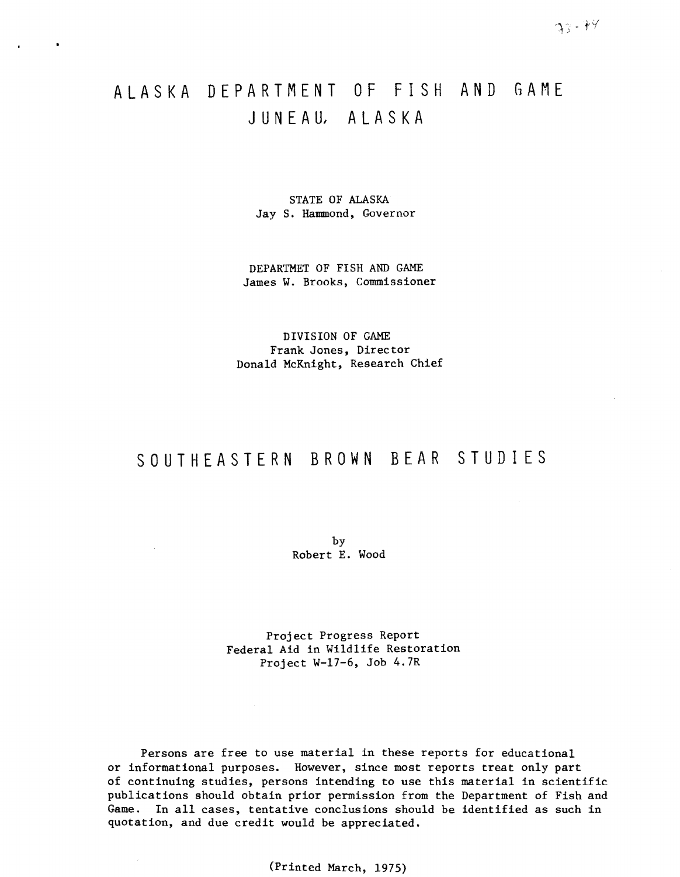# ALASKA DEPARTMENT OF FISH AND GAME J U N E A U, A L A S K A

 $\bullet$ 

STATE OF ALASKA Jay S. Hammond, Governor

DEPARTMET OF FISH AND GAME James W. Brooks, Commissioner

DIVISION OF GAME Frank Jones, Director Donald McKnight, Research Chief

# SOUTHEASTERN BROWN BEAR STUDIES

by Robert E. Wood

 $\sim$ 

Project Progress Report Federal Aid in Wildlife Restoration Project W-17-6, Job 4.7R

Persons are free to use material in these reports for educational or informational purposes. However, since most reports treat only part of continuing studies, persons intending to use this material in scientific publications should obtain prior permission from the Department of Fish and Game. In all cases, tentative conclusions should be identified as such in quotation, and due credit would be appreciated.

(Printed March, 1975)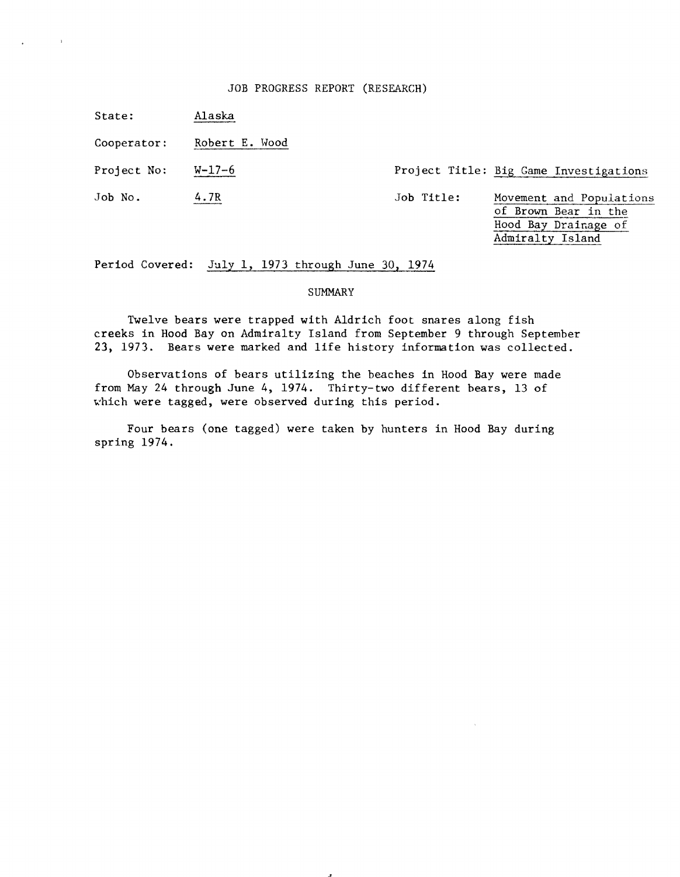## JOB PROGRESS REPORT (RESEARCH)

State: Alaska

 $\sim 10$ 

Cooperator: Robert E. Wood

Project No: W-17-6 Project Title: Big Game Investigations

Job No. 4.7R 4.7R Job Title: Movement and Populations of Brown Bear in the Hood Bay Drainage of Admiralty Island

Period Covered: July **1,** 1973 through June 30, 1974

# SUMMARY

Twelve bears were trapped with Aldrich foot snares along fish creeks in Hood Bay on Admiralty Island from September 9 through September **23,** 1973. Bears were marked and life history information was collected.

Observations of bears utilizing the beaches in Hood Bay were made from May 24 through June 4, 1974. Thirty-two different bears, 13 of which were tagged, were observed during this period.

Four bears (one tagged) were taken by hunters in Hood Bay during spring 1974.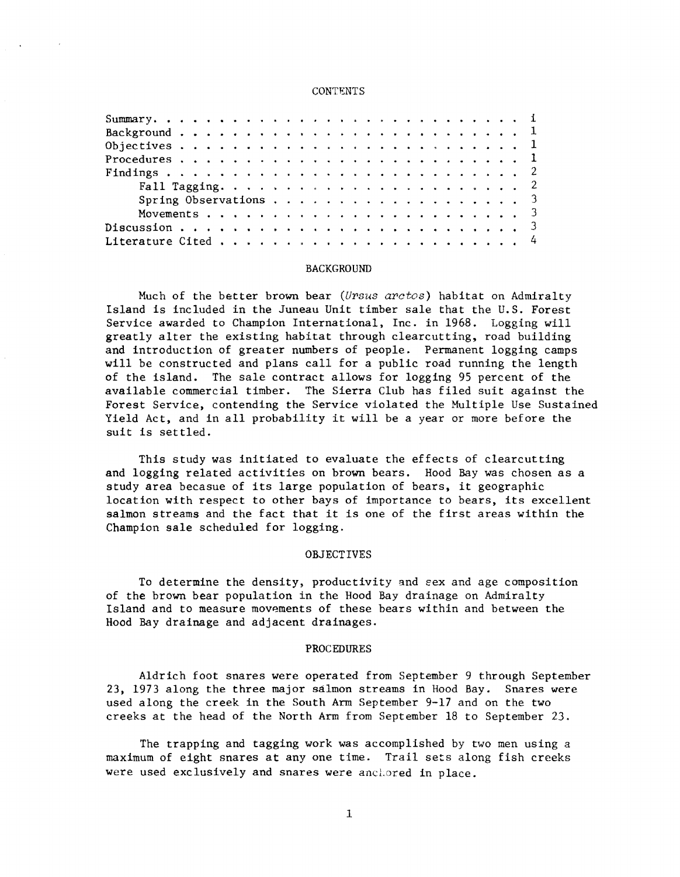#### **CONTENTS**

| Spring Observations 3 |  |  |  |  |  |  |  |  |  |  |  |  |  |  |
|-----------------------|--|--|--|--|--|--|--|--|--|--|--|--|--|--|
|                       |  |  |  |  |  |  |  |  |  |  |  |  |  |  |
|                       |  |  |  |  |  |  |  |  |  |  |  |  |  |  |
|                       |  |  |  |  |  |  |  |  |  |  |  |  |  |  |

#### BACKGROUND

Much of the better brown bear *(Ursus arctos)* habitat on Admiralty Island is included in the Juneau Unit timber sale that the U.S. Forest Service awarded to Champion International, Inc. in 1968. Logging will greatly alter the existing habitat through clearcutting, road building and introduction of greater numbers of people. Permanent logging camps will be constructed and plans call for a public road running the length of the island. The sale contract allows for logging 95 percent of the available commercial timber. The Sierra Club has filed suit against the Forest Service, contending the Service violated the Multiple Use Sustained Yield Act, and in all probability it will be a year or more before the suit is settled.

This study was initiated to evaluate the effects of clearcutting and logging related activities on brown bears. Hood Bay was chosen as a study area becasue of its large population of bears, it geographic location with respect to other bays of importance to bears, its excellent salmon streams and the fact that it is one of the first areas within the Champion sale scheduled for logging.

# OBJECTIVES

To determine the density, productivity and sex and age composition of the brown bear population in the Hood Bay drainage on Admiralty Island and to measure movements of these bears within and between the Hood Bay drainage and adjacent drainages.

#### PROCEDURES

Aldrich foot snares were operated from September 9 through September 23, 1973 along the three major salmon streams in Hood Bay. Snares were used along the creek in the South Arm September 9-17 and on the two creeks at the head of the North Arm from September 18 to September 23.

The trapping and tagging work was accomplished by two men using a maximum of eight snares at any one time. Trail sets along fish creeks were used exclusively and snares were anchored in place.

1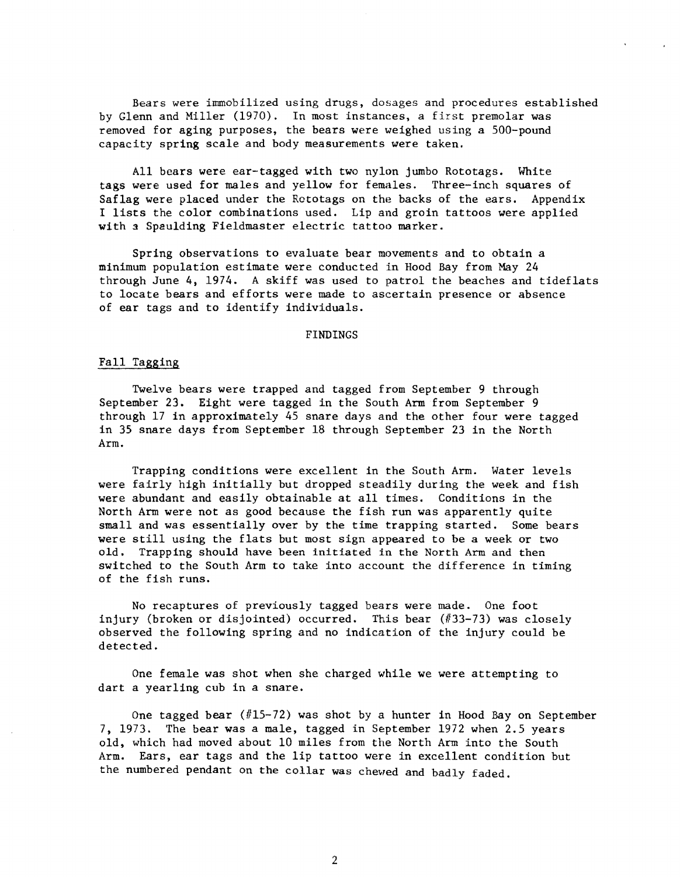Bears were innnobilized using drugs, dosages and procedures established by Glenn and Miller (1970). In most instances, a first premolar was removed for aging purposes, the bears were weighed using a 500-pound capacity spring scale and body measurements were taken.

I lists the color combinations used. Lip and groin tattoos were applied All bears were ear-tagged with two nylon jumbo Rototags. White tags were used for males and yellow for females. Three-inch squares of Saflag were placed under the Rctotags on the backs of the ears. Appendix with a Spaulding Fieldmaster electric tattoo marker.

Spring observations to evaluate bear movements and to obtain a minimum population estimate were conducted in Hood Bay from May 24 through June 4, 1974. A skiff was used to patrol the beaches and tideflats to locate bears and efforts were made to ascertain presence or absence of ear tags and to identify individuals.

# FINDINGS

# Fall Tagging

Twelve bears were trapped and tagged from September 9 through September 23. Eight were tagged in the South Arm from September 9 through 17 in approximately 45 snare days and the other four were tagged in 35 snare days from September 18 through September 23 in the North Arm.

Trapping conditions were excellent in the South Arm. Water levels were fairly high initially but dropped steadily during the week and fish were abundant and easily obtainable at all times. Conditions in the North Arm were not as good because the fish run was apparently quite small and was essentially over by the time trapping started. Some bears were still using the flats but most sign appeared to be a week or two old. Trapping should have been initiated in the North Arm and then switched to the South Arm to take into account the difference in timing of the fish runs.

No recaptures of previously tagged bears were made. One foot injury (broken or disjointed) occurred. This bear (#33-73) was closely observed the following spring and no indication of the injury could be detected.

One female was shot when she charged while we were attempting to dart a yearling cub in a snare.

One tagged bear (#15-72) was shot by a hunter in Hood Bay on September 7, 1973. The bear was a male, tagged in September 1972 when 2.5 years old, which had moved about 10 miles from the North Arm into the South Arm. Ears, ear tags and the lip tattoo were in excellent condition but the numbered pendant on the collar was chewed and badly faded.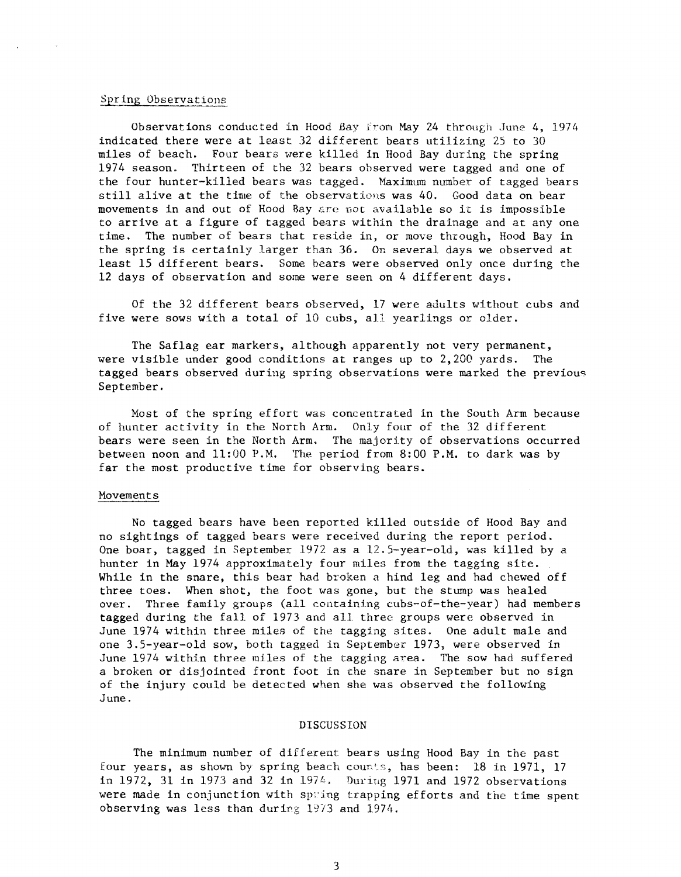### Spring Observations

Observations conducted in Hood Bay from May 24 through June 4, 1974 indicated there were at least 32 different bears utilizing 25 to 30 miles of beach. Four bears were killed in Hood Bay during the spring 1974 season. Thirteen of the 32 bears observed were tagged and one of the four hunter-killed bears was tagged. Maximum number of tagged bears still alive at the time of the observations was 40. Good data on bear movements in and out of Hood Bay &re not available so it is impossible to arrive at a figure of tagged bears within the drainage and at any one time. The number of bears that reside in, or move through, Hood Bay in the spring is certainly larger than 36. On several days we observed at least 15 different bears. Some bears were observed only once during the 12 days of observation and some were seen on 4 different days.

Of the 32 different bears observed, 17 were adults without cubs and five were sows with a total of 10 cubs, all yearlings or older.

The Saflag ear markers, although apparently not very permanent, were visible under good conditions at ranges up to 2,200 yards. The tagged bears observed during spring observations were marked the previouc: September.

Most of the spring effort was concentrated in the South Arm because of hunter activity in the North Arm. Only four of the 32 different bears were seen in the North Arm. The majority of observations occurred between noon and 11:00 P.M. The period from 8:00 P.M. to dark was by far the most productive time for observing bears.

#### Movements

No tagged bears have been reported killed outside of Hood Bay and no sightings of tagged bears were received during the report period. One boar, tagged in September 1972 as a 12.5-year-old, was killed by a hunter in May 1974 approximately four miles from the tagging site. While in the snare, this bear had broken a hind leg and had chewed off three toes. When shot, the foot was gone, but the stump was healed over. Three family groups (all containing cubs-of-the-year) had members tagged during the fall of 1973 and all three groups were observed in June 1974 within three miles of the tagging sites. One adult male and one 3.5-year-old sow, both tagged in September 1973, were observed in June 1974 within three miles of the tagging area. The sow had suffered a broken or disjointed front foot in che snare in September but no sign of the injury could be detected when she was observed the following June.

## DISCUSSION

The minimum number of different bears using Hood Bay in the past four years, as shown by spring beach counts, has been: 18 in 1971, 17 in 1972, 31 in 1973 and 32 in 1974. During 1971 and 1972 observations were made in conjunction with spring trapping efforts and the time spent observing was less than during  $1973$  and  $1974$ .

3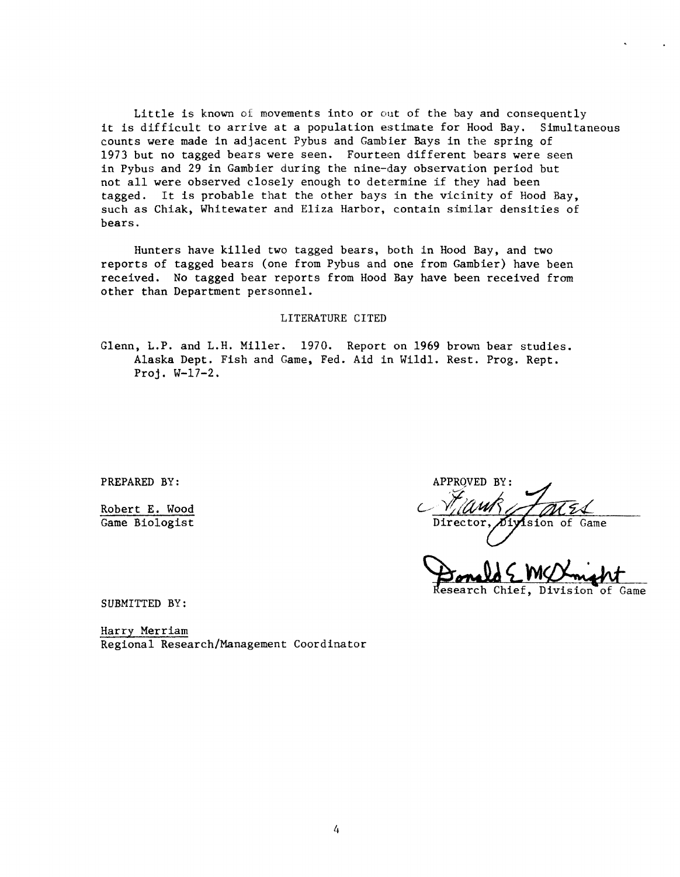Little is known of movements into or out of the bay and consequently it is difficult to arrive at a population estimate for Hood Bay. Simultaneous counts were made in adjacent Pybus and Gambier Bays in the spring of 1973 but no tagged bears were seen. Fourteen different bears were seen in Pybus and 29 in Gambier during the nine-day observation period but not all were observed closely enough to determine if they had been tagged. It is probable that the other bays in the vicinity of Hood Bay, such as Chiak, Whitewater and Eliza Harbor, contain similar densities of bears.

Hunters have killed two tagged bears, both in Hood Bay, and two reports of tagged bears (one from Pybus and one from Gambier) have been received. No tagged bear reports from Hood Bay have been received from other than Department personnel.

# LITERATURE CITED

Glenn, L.P. and L.H. Miller. 1970. Report on 1969 brown bear studies. Alaska Dept. Fish and Game, Fed. Aid in Wildl. Rest. Prog. Rept. Proj. W-17-2.

PREPARED BY:

Robert E. Wood Game Biologist

APPROVED BY: Division of Director Game

Research Chief, Division of Game

SUBMITTED BY:

Harry Merriam Regional Research/Management Coordinator